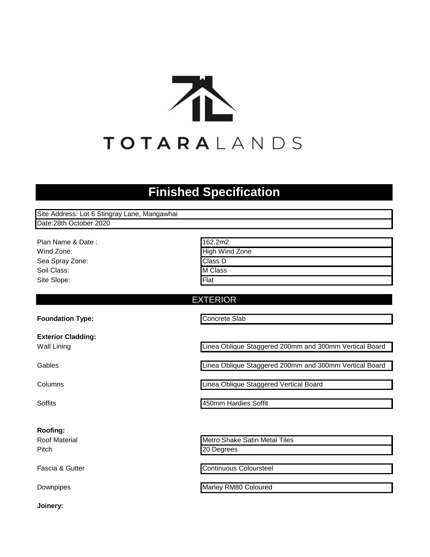

# **Finished Specification**

| Site Address: Lot 6 Stingray Lane, Mangawhai |                       |
|----------------------------------------------|-----------------------|
| Date:28th October 2020                       |                       |
|                                              |                       |
| Plan Name & Date:                            | 162.2m2               |
| Wind Zone:                                   | <b>High Wind Zone</b> |
| Sea Spray Zone:                              | Class D               |
| Soil Class:                                  | M Class               |
| Site Slope:                                  | Flat                  |
|                                              |                       |
|                                              | <b>EXTERIOR</b>       |
|                                              |                       |

**Foundation Type:**

**Exterior Cladding:** Wall Lining

Gables

Columns

**Soffits** 

### **Roofing:**

Roof Material Pitch

Fascia & Gutter

Downpipes

Concrete Slab

Linea Oblique Staggered 200mm and 300mm Vertical Board

Linea Oblique Staggered 200mm and 300mm Vertical Board

Linea Oblique Staggered Vertical Board

450mm Hardies Soffit

Metro Shake Satin Metal Tiles 20 Degrees

Continuous Coloursteel

Marley RM80 Coloured

**Joinery:**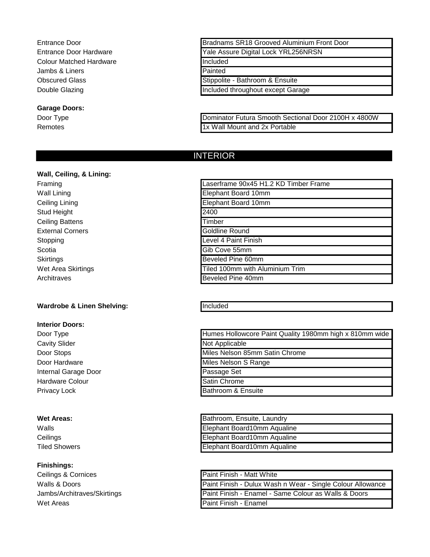Entrance Door Entrance Door Hardware Colour Matched Hardware Jambs & Liners Obscured Glass Double Glazing

#### **Garage Doors:**

Door Type Remotes

| Bradnams SR18 Grooved Aluminium Front Door |  |
|--------------------------------------------|--|
| Yale Assure Digital Lock YRL256NRSN        |  |
| Included                                   |  |
| Painted                                    |  |
| Stippolite - Bathroom & Ensuite            |  |
| Included throughout except Garage          |  |

Dominator Futura Smooth Sectional Door 2100H x 4800W 1x Wall Mount and 2x Portable

# INTERIOR

## **Wall, Ceiling, & Lining:**

Framing Wall Lining Ceiling Lining Stud Height Ceiling Battens External Corners Stopping **Scotia Skirtings** Wet Area Skirtings Architraves

### **Wardrobe & Linen Shelving:**

#### **Interior Doors:**

Door Type Cavity Slider Door Stops Door Hardware Internal Garage Door Hardware Colour Privacy Lock

#### **Wet Areas:**

Walls **Ceilings** Tiled Showers

#### **Finishings:**

Ceilings & Cornices Walls & Doors Jambs/Architraves/Skirtings Wet Areas

| Laserframe 90x45 H1.2 KD Timber Frame |
|---------------------------------------|
| Elephant Board 10mm                   |
| Elephant Board 10mm                   |
| 2400                                  |
| Timber                                |
| Goldline Round                        |
| Level 4 Paint Finish                  |
| Gib Cove 55mm                         |
| Beveled Pine 60mm                     |
| Tiled 100mm with Aluminium Trim       |
| Beveled Pine 40mm                     |

#### Included

| Humes Hollowcore Paint Quality 1980mm high x 810mm wide |
|---------------------------------------------------------|
| Not Applicable                                          |
| Miles Nelson 85mm Satin Chrome                          |
| Miles Nelson S Range                                    |
| Passage Set                                             |
| Satin Chrome                                            |
| Bathroom & Ensuite                                      |

| Bathroom, Ensuite, Laundry  |
|-----------------------------|
| Elephant Board10mm Aqualine |
| Elephant Board10mm Aqualine |
| Elephant Board10mm Aqualine |

| Paint Finish - Matt White                                  |
|------------------------------------------------------------|
| Paint Finish - Dulux Wash n Wear - Single Colour Allowance |
| Paint Finish - Enamel - Same Colour as Walls & Doors       |
| Paint Finish - Enamel                                      |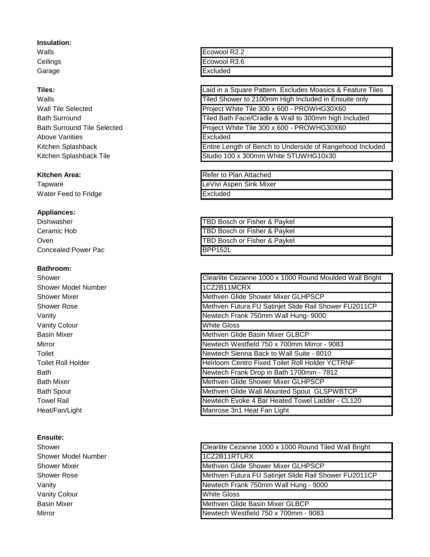#### **Insulation:**

Walls **Ceilings** Garage

#### **Tiles:**

Walls Wall Tile Selected Bath Surround Bath Surround Tile Selected Above Vanities Kitchen Splashback Kitchen Splashback Tile

#### **Kitchen Area:**

**Tapware** Water Feed to Fridge

#### **Appliances:**

Dishwasher Ceramic Hob **Oven** Concealed Power Pac

### **Bathroom:**

Shower Shower Model Number Shower Mixer Shower Rose Vanity Vanity Colour Basin Mixer Mirror Toilet Toilet Roll Holder Bath Bath Mixer Bath Spout Towel Rail Heat/Fan/Light

### **Ensuite:**

Shower Shower Model Number Shower Mixer Shower Rose Vanity Vanity Colour Basin Mixer Mirror

| Ecowool R2.2 |  |
|--------------|--|
| Ecowool R3.6 |  |
| Excluded     |  |

Project White Tile 300 x 600 - PROWHG30X60 Tiled Bath Face/Cradle & Wall to 300mm high Included Project White Tile 300 x 600 - PROWHG30X60 Studio 100 x 300mm White STUWHG10x30 Tiled Shower to 2100mm High Included in Ensuite only Laid in a Square Pattern. Excludes Moasics & Feature Tiles Excluded Entire Length of Bench to Underside of Rangehood Included

| Refer to Plan Attached  |
|-------------------------|
| LeVivi Aspen Sink Mixer |
| Excluded                |
|                         |

| TBD Bosch or Fisher & Paykel |
|------------------------------|
| TBD Bosch or Fisher & Paykel |
| TBD Bosch or Fisher & Paykel |
| BPP152L                      |

| Clearlite Cezanne 1000 x 1000 Round Moulded Wall Bright |
|---------------------------------------------------------|
| 1CZ2B11MCRX                                             |
| Methven Glide Shower Mixer GLHPSCP                      |
| Methven Futura FU Satinjet Slide Rail Shower FU2011CP   |
| Newtech Frank 750mm Wall Hung- 9000                     |
| <b>White Gloss</b>                                      |
| Methven Glide Basin Mixer GLBCP                         |
| Newtech Westfield 750 x 700mm Mirror - 9083             |
| Newtech Sienna Back to Wall Suite - 8010                |
| <b>Heirloom Centro Fixed Toilet Roll Holder YCTRNF</b>  |
| Newtech Frank Drop in Bath 1700mm - 7812                |
| Methven Glide Shower Mixer GLHPSCP                      |
| Methven Glide Wall Mounted Spout GLSPWBTCP              |
| Newtech Evoke 4 Bar Heated Towel Ladder - CL120         |
| Manrose 3n1 Heat Fan Light                              |

| Clearlite Cezanne 1000 x 1000 Round Tiled Wall Bright |
|-------------------------------------------------------|
| 1CZ2B11RTLRX                                          |
| Methven Glide Shower Mixer GLHPSCP                    |
| Methven Futura FU Satinjet Slide Rail Shower FU2011CP |
| Newtech Frank 750mm Wall Hung - 9000                  |
| <b>White Gloss</b>                                    |
| Methven Glide Basin Mixer GLBCP                       |
| Newtech Westfield 750 x 700mm - 9083                  |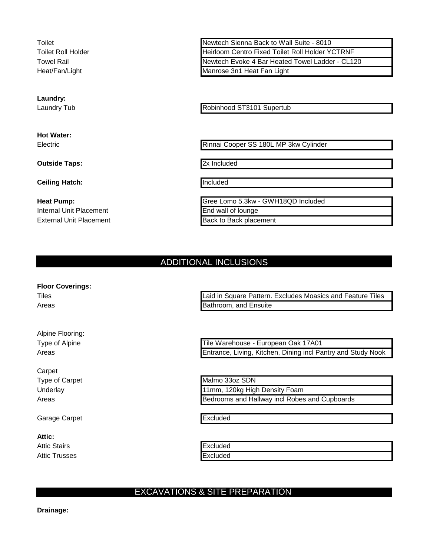Toilet Toilet Roll Holder Towel Rail Heat/Fan/Light

**Laundry:**

Laundry Tub

**Hot Water:** Electric

**Outside Taps:**

**Ceiling Hatch:**

**Heat Pump:** Internal Unit Placement External Unit Placement

Newtech Sienna Back to Wall Suite - 8010 Heirloom Centro Fixed Toilet Roll Holder YCTRNF Newtech Evoke 4 Bar Heated Towel Ladder - CL120 Manrose 3n1 Heat Fan Light

Robinhood ST3101 Supertub

Rinnai Cooper SS 180L MP 3kw Cylinder

2x Included

Included

Back to Back placement Gree Lomo 5.3kw - GWH18QD Included End wall of lounge

# ADDITIONAL INCLUSIONS

**Floor Coverings:**

Tiles Areas

Alpine Flooring: Type of Alpine Areas

Carpet Type of Carpet **Underlay** Areas

Garage Carpet

**Attic:** Attic Stairs Attic Trusses

Laid in Square Pattern. Excludes Moasics and Feature Tiles Bathroom, and Ensuite

Tile Warehouse - European Oak 17A01 Entrance, Living, Kitchen, Dining incl Pantry and Study Nook

Malmo 33oz SDN 11mm, 120kg High Density Foam Bedrooms and Hallway incl Robes and Cupboards

Excluded

**Excluded** Excluded

# EXCAVATIONS & SITE PREPARATION

**Drainage:**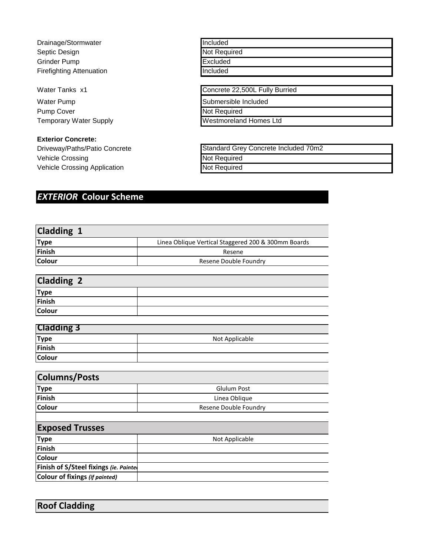Drainage/Stormwater Septic Design Grinder Pump Firefighting Attenuation

Water Tanks x1

Water Pump Pump Cover Temporary Water Supply

**Exterior Concrete:**

Driveway/Paths/Patio Concrete Vehicle Crossing Vehicle Crossing Application

Included Not Required **Excluded** Included

Concrete 22,500L Fully Burried

Submersible Included

Not Required

Westmoreland Homes Ltd

| Standard Grey Concrete Included 70m2 |  |
|--------------------------------------|--|
| Not Required                         |  |
| Not Required                         |  |

# *EXTERIOR* **Colour Scheme**

| Cladding 1                            |                                                     |
|---------------------------------------|-----------------------------------------------------|
| <b>Type</b>                           | Linea Oblique Vertical Staggered 200 & 300mm Boards |
| Finish                                | Resene                                              |
| Colour                                | Resene Double Foundry                               |
|                                       |                                                     |
| <b>Cladding 2</b>                     |                                                     |
| <b>Type</b>                           |                                                     |
| <b>Finish</b>                         |                                                     |
| <b>Colour</b>                         |                                                     |
|                                       |                                                     |
| <b>Cladding 3</b>                     |                                                     |
| <b>Type</b>                           | Not Applicable                                      |
| <b>Finish</b>                         |                                                     |
| Colour                                |                                                     |
|                                       |                                                     |
| <b>Columns/Posts</b>                  |                                                     |
| <b>Type</b>                           | <b>Glulum Post</b>                                  |
| <b>Finish</b>                         | Linea Oblique                                       |
| Colour                                | Resene Double Foundry                               |
|                                       |                                                     |
| <b>Exposed Trusses</b>                |                                                     |
| <b>Type</b>                           | Not Applicable                                      |
| <b>Finish</b>                         |                                                     |
| Colour                                |                                                     |
| Finish of S/Steel fixings (ie. Painte |                                                     |
| <b>Colour of fixings (if painted)</b> |                                                     |
|                                       |                                                     |

**Roof Cladding**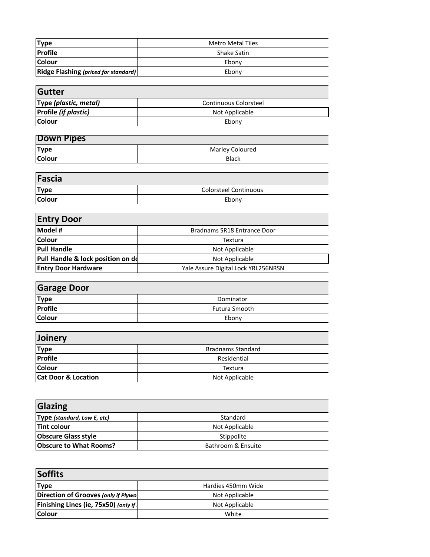| <b>Type</b>                                 | <b>Metro Metal Tiles</b> |
|---------------------------------------------|--------------------------|
| <b>Profile</b>                              | <b>Shake Satin</b>       |
| <b>Colour</b>                               | Ebony                    |
| <b>Ridge Flashing (priced for standard)</b> | Ebony                    |

| Gutter                      |                       |
|-----------------------------|-----------------------|
| Type (plastic, metal)       | Continuous Colorsteel |
| <b>Profile (if plastic)</b> | Not Applicable        |
| l Colour                    | Ebony                 |

| Down Pipes    |                 |
|---------------|-----------------|
| <b>Type</b>   | Marley Coloured |
| <b>Colour</b> | <b>Black</b>    |

| Fascia        |                              |
|---------------|------------------------------|
| <b>Type</b>   | <b>Colorsteel Continuous</b> |
| <b>Colour</b> | Ebony                        |

 $\overline{\phantom{0}}$ 

 $\overline{a}$ 

| <b>Entry Door</b>                 |                                     |
|-----------------------------------|-------------------------------------|
| Model #                           | Bradnams SR18 Entrance Door         |
| <b>Colour</b>                     | Textura                             |
| <b>Pull Handle</b>                | Not Applicable                      |
| Pull Handle & lock position on do | Not Applicable                      |
| <b>Entry Door Hardware</b>        | Yale Assure Digital Lock YRL256NRSN |

| <b>Garage Door</b> |                      |
|--------------------|----------------------|
| <b>Type</b>        | Dominator            |
| Profile            | <b>Futura Smooth</b> |
| <b>Colour</b>      | Ebony                |

| Joinery                        |                          |
|--------------------------------|--------------------------|
| <b>Type</b>                    | <b>Bradnams Standard</b> |
| Profile                        | Residential              |
| <b>Colour</b>                  | Textura                  |
| <b>Cat Door &amp; Location</b> | Not Applicable           |

| <b>Glazing</b>                     |                    |
|------------------------------------|--------------------|
| <b>Type (standard, Low E, etc)</b> | Standard           |
| <b>Tint colour</b>                 | Not Applicable     |
| <b>Obscure Glass style</b>         | Stippolite         |
| <b>Obscure to What Rooms?</b>      | Bathroom & Ensuite |

| <b>Soffits</b>                              |                    |
|---------------------------------------------|--------------------|
| <b>Type</b>                                 | Hardies 450mm Wide |
| Direction of Grooves (only if Plywol        | Not Applicable     |
| <b>Finishing Lines (ie, 75x50) (only if</b> | Not Applicable     |
| <b>Colour</b>                               | White              |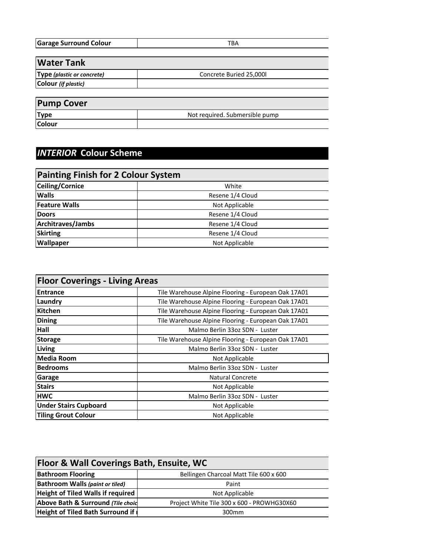| <b>Garage Surround Colour</b> | ப− |
|-------------------------------|----|
|                               |    |

| <b>Water Tank</b>          |                         |
|----------------------------|-------------------------|
| Type (plastic or concrete) | Concrete Buried 25,000l |
| Colour (if plastic)        |                         |
|                            |                         |
| $\blacksquare$             |                         |

| <b>Pump Cover</b> |                                |
|-------------------|--------------------------------|
| <b>Type</b>       | Not required. Submersible pump |
| <b>Colour</b>     |                                |

# *INTERIOR* **Colour Scheme**

| <b>Painting Finish for 2 Colour System</b> |                  |
|--------------------------------------------|------------------|
| Ceiling/Cornice                            | White            |
| <b>Walls</b>                               | Resene 1/4 Cloud |
| <b>Feature Walls</b>                       | Not Applicable   |
| <b>Doors</b>                               | Resene 1/4 Cloud |
| Architraves/Jambs                          | Resene 1/4 Cloud |
| <b>Skirting</b>                            | Resene 1/4 Cloud |
| <b>Wallpaper</b>                           | Not Applicable   |

| <b>Floor Coverings - Living Areas</b> |                                                     |
|---------------------------------------|-----------------------------------------------------|
| <b>Entrance</b>                       | Tile Warehouse Alpine Flooring - European Oak 17A01 |
| Laundry                               | Tile Warehouse Alpine Flooring - European Oak 17A01 |
| <b>Kitchen</b>                        | Tile Warehouse Alpine Flooring - European Oak 17A01 |
| <b>Dining</b>                         | Tile Warehouse Alpine Flooring - European Oak 17A01 |
| Hall                                  | Malmo Berlin 33oz SDN - Luster                      |
| <b>Storage</b>                        | Tile Warehouse Alpine Flooring - European Oak 17A01 |
| Living                                | Malmo Berlin 33oz SDN - Luster                      |
| Media Room                            | Not Applicable                                      |
| <b>Bedrooms</b>                       | Malmo Berlin 33oz SDN - Luster                      |
| Garage                                | <b>Natural Concrete</b>                             |
| <b>Stairs</b>                         | Not Applicable                                      |
| <b>HWC</b>                            | Malmo Berlin 33oz SDN - Luster                      |
| <b>Under Stairs Cupboard</b>          | Not Applicable                                      |
| <b>Tiling Grout Colour</b>            | Not Applicable                                      |

| <b>Floor &amp; Wall Coverings Bath, Ensuite, WC</b> |                                            |
|-----------------------------------------------------|--------------------------------------------|
| <b>Bathroom Flooring</b>                            | Bellingen Charcoal Matt Tile 600 x 600     |
| <b>Bathroom Walls (paint or tiled)</b>              | Paint                                      |
| <b>Height of Tiled Walls if required</b>            | Not Applicable                             |
| Above Bath & Surround (Tile choid                   | Project White Tile 300 x 600 - PROWHG30X60 |
| <b>Height of Tiled Bath Surround if</b>             | 300 <sub>mm</sub>                          |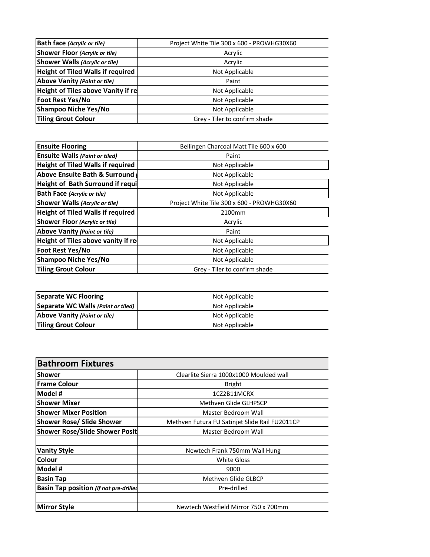| <b>Bath face (Acrylic or tile)</b>        | Project White Tile 300 x 600 - PROWHG30X60 |
|-------------------------------------------|--------------------------------------------|
| Shower Floor (Acrylic or tile)            | Acrylic                                    |
| Shower Walls (Acrylic or tile)            | Acrylic                                    |
| <b>Height of Tiled Walls if required</b>  | Not Applicable                             |
| Above Vanity (Paint or tile)              | Paint                                      |
| <b>Height of Tiles above Vanity if re</b> | Not Applicable                             |
| <b>Foot Rest Yes/No</b>                   | Not Applicable                             |
| <b>Shampoo Niche Yes/No</b>               | Not Applicable                             |
| <b>Tiling Grout Colour</b>                | Grey - Tiler to confirm shade              |

| <b>Ensuite Flooring</b>                  | Bellingen Charcoal Matt Tile 600 x 600     |
|------------------------------------------|--------------------------------------------|
| <b>Ensuite Walls (Paint or tiled)</b>    | Paint                                      |
| <b>Height of Tiled Walls if required</b> | Not Applicable                             |
| <b>Above Ensuite Bath &amp; Surround</b> | Not Applicable                             |
| Height of Bath Surround if requi         | Not Applicable                             |
| <b>Bath Face (Acrylic or tile)</b>       | Not Applicable                             |
| <b>Shower Walls (Acrylic or tile)</b>    | Project White Tile 300 x 600 - PROWHG30X60 |
| <b>Height of Tiled Walls if required</b> | 2100mm                                     |
| <b>Shower Floor (Acrylic or tile)</b>    | Acrylic                                    |
| <b>Above Vanity (Paint or tile)</b>      | Paint                                      |
| Height of Tiles above vanity if re-      | Not Applicable                             |
| Foot Rest Yes/No                         | Not Applicable                             |
| <b>Shampoo Niche Yes/No</b>              | Not Applicable                             |
| <b>Tiling Grout Colour</b>               | Grey - Tiler to confirm shade              |

| Separate WC Flooring               | Not Applicable |
|------------------------------------|----------------|
| Separate WC Walls (Paint or tiled) | Not Applicable |
| Above Vanity (Paint or tile)       | Not Applicable |
| <b>Tiling Grout Colour</b>         | Not Applicable |

| <b>Bathroom Fixtures</b>                      |                                                |
|-----------------------------------------------|------------------------------------------------|
| <b>Shower</b>                                 | Clearlite Sierra 1000x1000 Moulded wall        |
| <b>Frame Colour</b>                           | <b>Bright</b>                                  |
| Model #                                       | 1CZ2B11MCRX                                    |
| <b>Shower Mixer</b>                           | Methyen Glide GLHPSCP                          |
| <b>Shower Mixer Position</b>                  | Master Bedroom Wall                            |
| <b>Shower Rose/ Slide Shower</b>              | Methven Futura FU Satinjet Slide Rail FU2011CP |
| <b>Shower Rose/Slide Shower Posit</b>         | <b>Master Bedroom Wall</b>                     |
|                                               |                                                |
| <b>Vanity Style</b>                           | Newtech Frank 750mm Wall Hung                  |
| Colour                                        | <b>White Gloss</b>                             |
| Model #                                       | 9000                                           |
| <b>Basin Tap</b>                              | Methven Glide GLBCP                            |
| <b>Basin Tap position (if not pre-drilled</b> | Pre-drilled                                    |
|                                               |                                                |
| <b>Mirror Style</b>                           | Newtech Westfield Mirror 750 x 700mm           |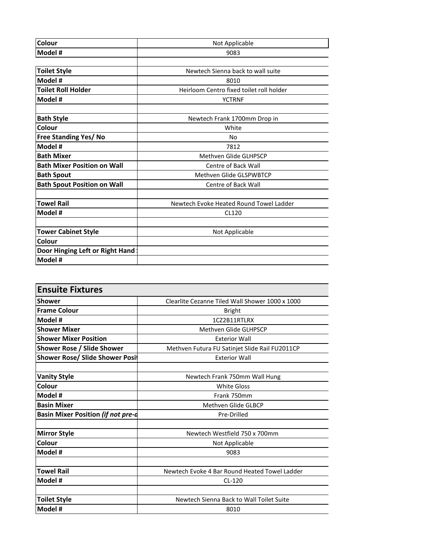| Colour                             | Not Applicable                           |
|------------------------------------|------------------------------------------|
| Model #                            | 9083                                     |
|                                    |                                          |
| <b>Toilet Style</b>                | Newtech Sienna back to wall suite        |
| Model #                            | 8010                                     |
| <b>Toilet Roll Holder</b>          | Heirloom Centro fixed toilet roll holder |
| Model #                            | <b>YCTRNF</b>                            |
| <b>Bath Style</b>                  | Newtech Frank 1700mm Drop in             |
| Colour                             | White                                    |
| Free Standing Yes/ No              | No                                       |
| Model #                            | 7812                                     |
| <b>Bath Mixer</b>                  | Methven Glide GLHPSCP                    |
| <b>Bath Mixer Position on Wall</b> | Centre of Back Wall                      |
| <b>Bath Spout</b>                  | Methven Glide GLSPWBTCP                  |
| <b>Bath Spout Position on Wall</b> | <b>Centre of Back Wall</b>               |
| <b>Towel Rail</b>                  | Newtech Evoke Heated Round Towel Ladder  |
| Model #                            | CL120                                    |
|                                    |                                          |
| <b>Tower Cabinet Style</b>         | Not Applicable                           |
| Colour                             |                                          |
| Door Hinging Left or Right Hand    |                                          |
| Model #                            |                                          |

| <b>Ensuite Fixtures</b>                   |                                                 |
|-------------------------------------------|-------------------------------------------------|
| <b>Shower</b>                             | Clearlite Cezanne Tiled Wall Shower 1000 x 1000 |
| <b>Frame Colour</b>                       | <b>Bright</b>                                   |
| Model #                                   | 1CZ2B11RTLRX                                    |
| <b>Shower Mixer</b>                       | Methyen Glide GLHPSCP                           |
| <b>Shower Mixer Position</b>              | <b>Exterior Wall</b>                            |
| <b>Shower Rose / Slide Shower</b>         | Methven Futura FU Satinjet Slide Rail FU2011CP  |
| <b>Shower Rose/ Slide Shower Posit</b>    | <b>Exterior Wall</b>                            |
|                                           |                                                 |
| <b>Vanity Style</b>                       | Newtech Frank 750mm Wall Hung                   |
| Colour                                    | <b>White Gloss</b>                              |
| Model #                                   | Frank 750mm                                     |
| <b>Basin Mixer</b>                        | Methven Glide GLBCP                             |
| <b>Basin Mixer Position (if not pre-d</b> | Pre-Drilled                                     |
|                                           |                                                 |
| <b>Mirror Style</b>                       | Newtech Westfield 750 x 700mm                   |
| Colour                                    | Not Applicable                                  |
| Model #                                   | 9083                                            |
|                                           |                                                 |
| <b>Towel Rail</b>                         | Newtech Evoke 4 Bar Round Heated Towel Ladder   |
| Model #                                   | $CL-120$                                        |
|                                           |                                                 |
| <b>Toilet Style</b>                       | Newtech Sienna Back to Wall Toilet Suite        |
| Model #                                   | 8010                                            |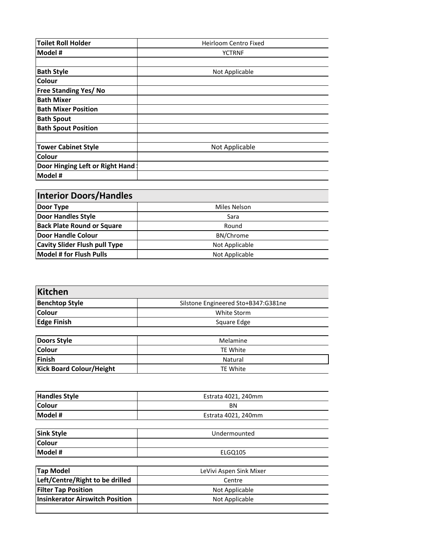| <b>Toilet Roll Holder</b>       | Heirloom Centro Fixed |
|---------------------------------|-----------------------|
| Model #                         | <b>YCTRNF</b>         |
|                                 |                       |
| <b>Bath Style</b>               | Not Applicable        |
| Colour                          |                       |
| <b>Free Standing Yes/No</b>     |                       |
| <b>Bath Mixer</b>               |                       |
| <b>Bath Mixer Position</b>      |                       |
| <b>Bath Spout</b>               |                       |
| <b>Bath Spout Position</b>      |                       |
|                                 |                       |
| <b>Tower Cabinet Style</b>      | Not Applicable        |
| Colour                          |                       |
| Door Hinging Left or Right Hand |                       |
| Model #                         |                       |

| <b>Interior Doors/Handles</b>        |                  |
|--------------------------------------|------------------|
| Door Type                            | Miles Nelson     |
| <b>Door Handles Style</b>            | Sara             |
| <b>Back Plate Round or Square</b>    | Round            |
| Door Handle Colour                   | <b>BN/Chrome</b> |
| <b>Cavity Slider Flush pull Type</b> | Not Applicable   |
| Model # for Flush Pulls              | Not Applicable   |

| <b>Kitchen</b>                  |                                     |
|---------------------------------|-------------------------------------|
| <b>Benchtop Style</b>           | Silstone Engineered Sto+B347:G381ne |
| Colour                          | White Storm                         |
| <b>Edge Finish</b>              | Square Edge                         |
| <b>Doors Style</b>              | Melamine                            |
| Colour                          | <b>TE White</b>                     |
| <b>Finish</b>                   | Natural                             |
| <b>Kick Board Colour/Height</b> | <b>TE White</b>                     |
| <b>Handles Style</b>            | Estrata 4021, 240mm                 |
| Colour<br>Model #               | <b>BN</b><br>Estrata 4021, 240mm    |
| <b>Sink Style</b>               | Undermounted                        |
| Colour<br>Model #               | ELGQ105                             |
| <b>Tap Model</b>                | LeVivi Aspen Sink Mixer             |
| Left/Centre/Right to be drilled | Centre                              |
| <b>Filter Tap Position</b>      | Not Applicable                      |